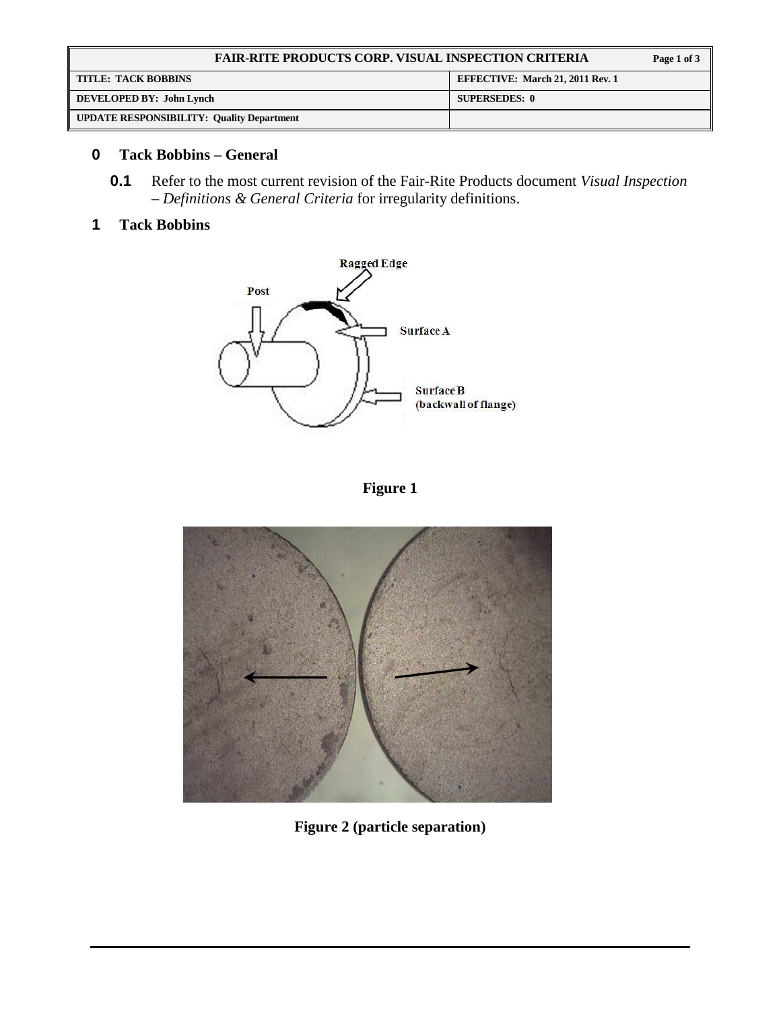| <b>FAIR-RITE PRODUCTS CORP. VISUAL INSPECTION CRITERIA</b> |                                         | Page 1 of 3 |
|------------------------------------------------------------|-----------------------------------------|-------------|
| <b>TITLE: TACK BOBBINS</b>                                 | <b>EFFECTIVE: March 21, 2011 Rev. 1</b> |             |
| DEVELOPED BY: John Lynch                                   | <b>SUPERSEDES: 0</b>                    |             |
| <b>UPDATE RESPONSIBILITY: Quality Department</b>           |                                         |             |

## **0 Tack Bobbins – General**

**0.1** Refer to the most current revision of the Fair-Rite Products document *Visual Inspection – Definitions & General Criteria* for irregularity definitions.

## **1 Tack Bobbins**



**Figure 1** 



**Figure 2 (particle separation)**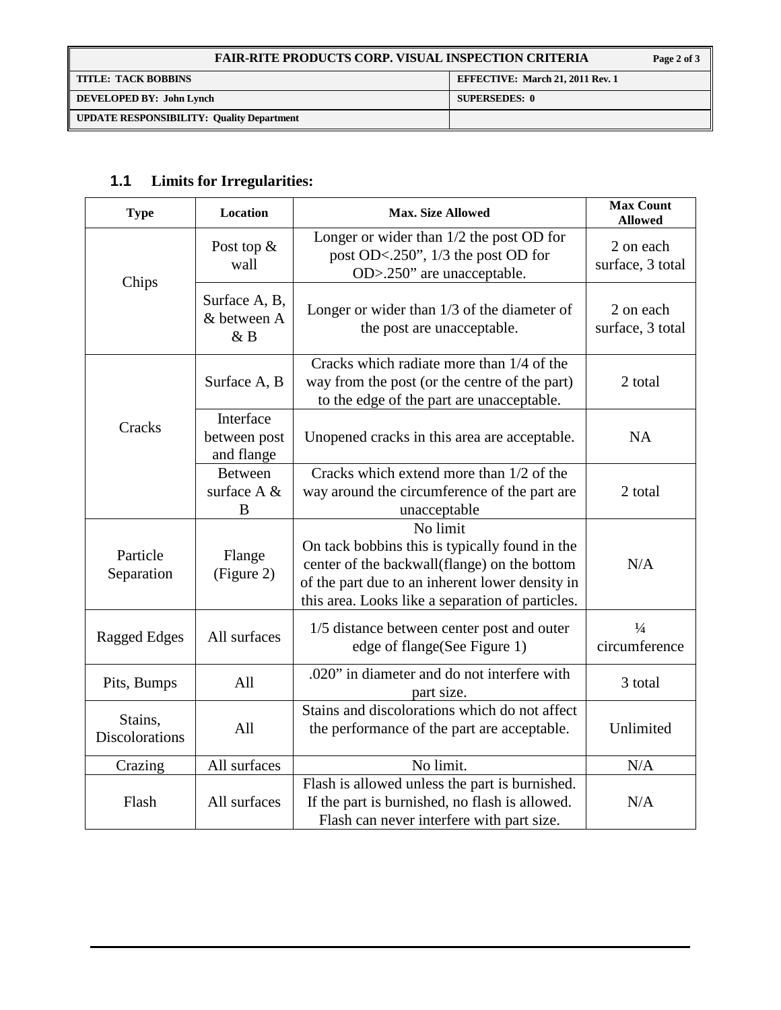| <b>FAIR-RITE PRODUCTS CORP. VISUAL INSPECTION CRITERIA</b> |                                         |
|------------------------------------------------------------|-----------------------------------------|
| <b>TITLE: TACK BOBBINS</b>                                 | <b>EFFECTIVE: March 21, 2011 Rev. 1</b> |
| DEVELOPED BY: John Lynch                                   | <b>SUPERSEDES: 0</b>                    |
| <b>UPDATE RESPONSIBILITY: Quality Department</b>           |                                         |

# **1.1 Limits for Irregularities:**

| <b>Type</b>                      | Location                                | <b>Max. Size Allowed</b>                                                                                                                                                                                          | <b>Max Count</b><br><b>Allowed</b> |
|----------------------------------|-----------------------------------------|-------------------------------------------------------------------------------------------------------------------------------------------------------------------------------------------------------------------|------------------------------------|
| Chips                            | Post top $\&$<br>wall                   | Longer or wider than 1/2 the post OD for<br>post OD<.250", 1/3 the post OD for<br>OD>.250" are unacceptable.                                                                                                      | 2 on each<br>surface, 3 total      |
|                                  | Surface A, B,<br>& between A<br>&B      | Longer or wider than $1/3$ of the diameter of<br>the post are unacceptable.                                                                                                                                       | 2 on each<br>surface, 3 total      |
|                                  | Surface A, B                            | Cracks which radiate more than 1/4 of the<br>way from the post (or the centre of the part)<br>to the edge of the part are unacceptable.                                                                           | 2 total                            |
| Cracks                           | Interface<br>between post<br>and flange | Unopened cracks in this area are acceptable.                                                                                                                                                                      | <b>NA</b>                          |
|                                  | <b>Between</b><br>surface A &<br>B      | Cracks which extend more than 1/2 of the<br>way around the circumference of the part are<br>unacceptable                                                                                                          | 2 total                            |
| Particle<br>Separation           | Flange<br>(Figure 2)                    | No limit<br>On tack bobbins this is typically found in the<br>center of the backwall(flange) on the bottom<br>of the part due to an inherent lower density in<br>this area. Looks like a separation of particles. | N/A                                |
| <b>Ragged Edges</b>              | All surfaces                            | 1/5 distance between center post and outer<br>edge of flange(See Figure 1)                                                                                                                                        | $\frac{1}{4}$<br>circumference     |
| Pits, Bumps                      | All                                     | .020" in diameter and do not interfere with<br>part size.                                                                                                                                                         | 3 total                            |
| Stains,<br><b>Discolorations</b> | All                                     | Stains and discolorations which do not affect<br>the performance of the part are acceptable.                                                                                                                      | Unlimited                          |
| Crazing                          | All surfaces                            | No limit.                                                                                                                                                                                                         | N/A                                |
| Flash                            | All surfaces                            | Flash is allowed unless the part is burnished.<br>If the part is burnished, no flash is allowed.<br>Flash can never interfere with part size.                                                                     | N/A                                |